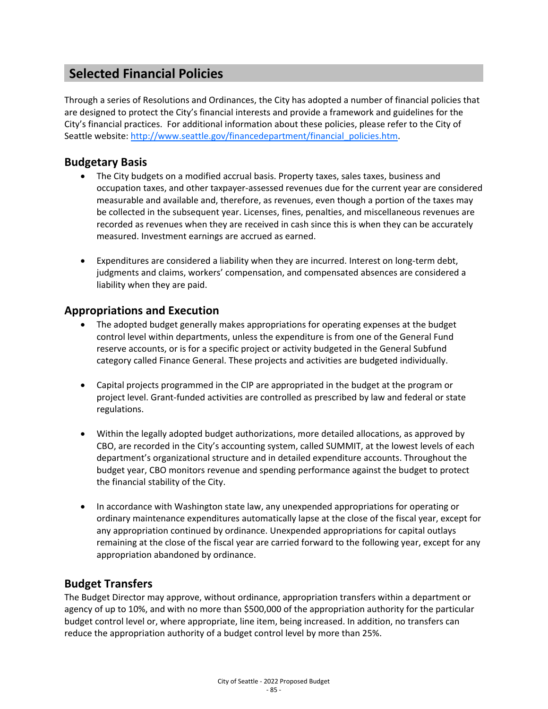# **Selected Financial Policies**

Through a series of Resolutions and Ordinances, the City has adopted a number of financial policies that are designed to protect the City's financial interests and provide a framework and guidelines for the City's financial practices. For additional information about these policies, please refer to the City of Seattle website: [http://www.seattle.gov/financedepartment/financial\\_policies.htm.](http://www.seattle.gov/financedepartment/financial_policies.htm)

# **Budgetary Basis**

- The City budgets on a modified accrual basis. Property taxes, sales taxes, business and occupation taxes, and other taxpayer-assessed revenues due for the current year are considered measurable and available and, therefore, as revenues, even though a portion of the taxes may be collected in the subsequent year. Licenses, fines, penalties, and miscellaneous revenues are recorded as revenues when they are received in cash since this is when they can be accurately measured. Investment earnings are accrued as earned.
- Expenditures are considered a liability when they are incurred. Interest on long-term debt, judgments and claims, workers' compensation, and compensated absences are considered a liability when they are paid.

### **Appropriations and Execution**

- The adopted budget generally makes appropriations for operating expenses at the budget control level within departments, unless the expenditure is from one of the General Fund reserve accounts, or is for a specific project or activity budgeted in the General Subfund category called Finance General. These projects and activities are budgeted individually.
- Capital projects programmed in the CIP are appropriated in the budget at the program or project level. Grant-funded activities are controlled as prescribed by law and federal or state regulations.
- Within the legally adopted budget authorizations, more detailed allocations, as approved by CBO, are recorded in the City's accounting system, called SUMMIT, at the lowest levels of each department's organizational structure and in detailed expenditure accounts. Throughout the budget year, CBO monitors revenue and spending performance against the budget to protect the financial stability of the City.
- In accordance with Washington state law, any unexpended appropriations for operating or ordinary maintenance expenditures automatically lapse at the close of the fiscal year, except for any appropriation continued by ordinance. Unexpended appropriations for capital outlays remaining at the close of the fiscal year are carried forward to the following year, except for any appropriation abandoned by ordinance.

# **Budget Transfers**

The Budget Director may approve, without ordinance, appropriation transfers within a department or agency of up to 10%, and with no more than \$500,000 of the appropriation authority for the particular budget control level or, where appropriate, line item, being increased. In addition, no transfers can reduce the appropriation authority of a budget control level by more than 25%.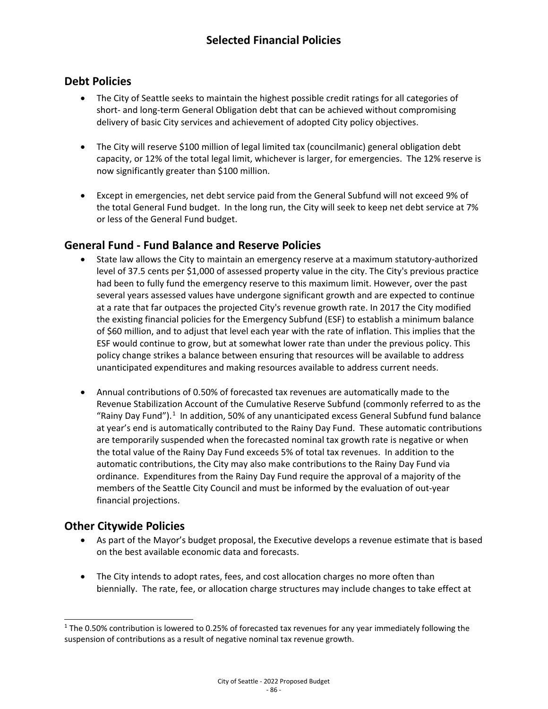# **Debt Policies**

- The City of Seattle seeks to maintain the highest possible credit ratings for all categories of short- and long-term General Obligation debt that can be achieved without compromising delivery of basic City services and achievement of adopted City policy objectives.
- The City will reserve \$100 million of legal limited tax (councilmanic) general obligation debt capacity, or 12% of the total legal limit, whichever is larger, for emergencies. The 12% reserve is now significantly greater than \$100 million.
- Except in emergencies, net debt service paid from the General Subfund will not exceed 9% of the total General Fund budget. In the long run, the City will seek to keep net debt service at 7% or less of the General Fund budget.

# **General Fund - Fund Balance and Reserve Policies**

- State law allows the City to maintain an emergency reserve at a maximum statutory-authorized level of 37.5 cents per \$1,000 of assessed property value in the city. The City's previous practice had been to fully fund the emergency reserve to this maximum limit. However, over the past several years assessed values have undergone significant growth and are expected to continue at a rate that far outpaces the projected City's revenue growth rate. In 2017 the City modified the existing financial policies for the Emergency Subfund (ESF) to establish a minimum balance of \$60 million, and to adjust that level each year with the rate of inflation. This implies that the ESF would continue to grow, but at somewhat lower rate than under the previous policy. This policy change strikes a balance between ensuring that resources will be available to address unanticipated expenditures and making resources available to address current needs.
- Annual contributions of 0.50% of forecasted tax revenues are automatically made to the Revenue Stabilization Account of the Cumulative Reserve Subfund (commonly referred to as the "Rainy Day Fund").<sup>[1](#page-1-0)</sup> In addition, 50% of any unanticipated excess General Subfund fund balance at year's end is automatically contributed to the Rainy Day Fund. These automatic contributions are temporarily suspended when the forecasted nominal tax growth rate is negative or when the total value of the Rainy Day Fund exceeds 5% of total tax revenues. In addition to the automatic contributions, the City may also make contributions to the Rainy Day Fund via ordinance. Expenditures from the Rainy Day Fund require the approval of a majority of the members of the Seattle City Council and must be informed by the evaluation of out-year financial projections.

# **Other Citywide Policies**

- As part of the Mayor's budget proposal, the Executive develops a revenue estimate that is based on the best available economic data and forecasts.
- The City intends to adopt rates, fees, and cost allocation charges no more often than biennially. The rate, fee, or allocation charge structures may include changes to take effect at

<span id="page-1-0"></span> $1$  The 0.50% contribution is lowered to 0.25% of forecasted tax revenues for any year immediately following the suspension of contributions as a result of negative nominal tax revenue growth.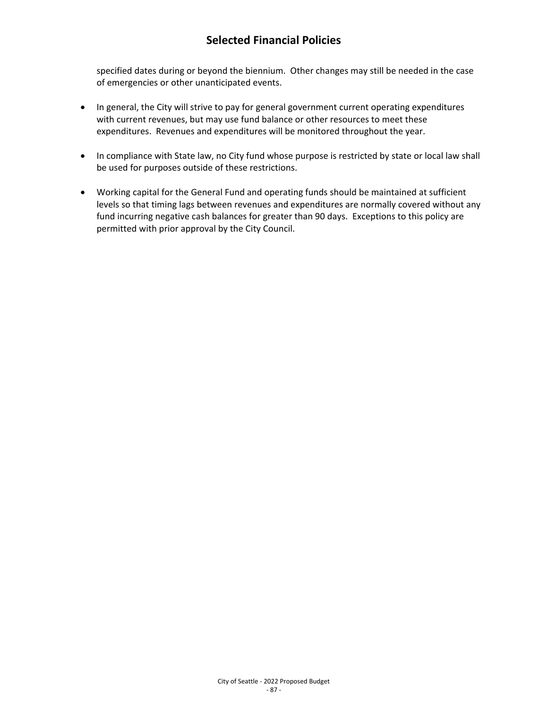# **Selected Financial Policies**

specified dates during or beyond the biennium. Other changes may still be needed in the case of emergencies or other unanticipated events.

- In general, the City will strive to pay for general government current operating expenditures with current revenues, but may use fund balance or other resources to meet these expenditures. Revenues and expenditures will be monitored throughout the year.
- In compliance with State law, no City fund whose purpose is restricted by state or local law shall be used for purposes outside of these restrictions.
- Working capital for the General Fund and operating funds should be maintained at sufficient levels so that timing lags between revenues and expenditures are normally covered without any fund incurring negative cash balances for greater than 90 days. Exceptions to this policy are permitted with prior approval by the City Council.